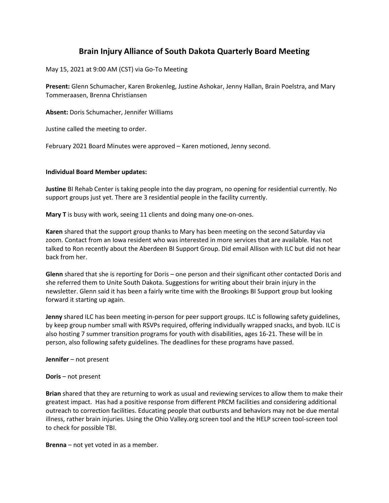# **Brain Injury Alliance of South Dakota Quarterly Board Meeting**

May 15, 2021 at 9:00 AM (CST) via Go-To Meeting

**Present:** Glenn Schumacher, Karen Brokenleg, Justine Ashokar, Jenny Hallan, Brain Poelstra, and Mary Tommeraasen, Brenna Christiansen

**Absent:** Doris Schumacher, Jennifer Williams

Justine called the meeting to order.

February 2021 Board Minutes were approved – Karen motioned, Jenny second.

## **Individual Board Member updates:**

**Justine** BI Rehab Center is taking people into the day program, no opening for residential currently. No support groups just yet. There are 3 residential people in the facility currently.

**Mary T** is busy with work, seeing 11 clients and doing many one-on-ones.

**Karen** shared that the support group thanks to Mary has been meeting on the second Saturday via zoom. Contact from an Iowa resident who was interested in more services that are available. Has not talked to Ron recently about the Aberdeen BI Support Group. Did email Allison with ILC but did not hear back from her.

**Glenn** shared that she is reporting for Doris – one person and their significant other contacted Doris and she referred them to Unite South Dakota. Suggestions for writing about their brain injury in the newsletter. Glenn said it has been a fairly write time with the Brookings BI Support group but looking forward it starting up again.

**Jenny** shared ILC has been meeting in-person for peer support groups. ILC is following safety guidelines, by keep group number small with RSVPs required, offering individually wrapped snacks, and byob. ILC is also hosting 7 summer transition programs for youth with disabilities, ages 16-21. These will be in person, also following safety guidelines. The deadlines for these programs have passed.

**Jennifer** – not present

### **Doris** – not present

**Brian** shared that they are returning to work as usual and reviewing services to allow them to make their greatest impact. Has had a positive response from different PRCM facilities and considering additional outreach to correction facilities. Educating people that outbursts and behaviors may not be due mental illness, rather brain injuries. Using the Ohio Valley.org screen tool and the HELP screen tool-screen tool to check for possible TBI.

**Brenna** – not yet voted in as a member.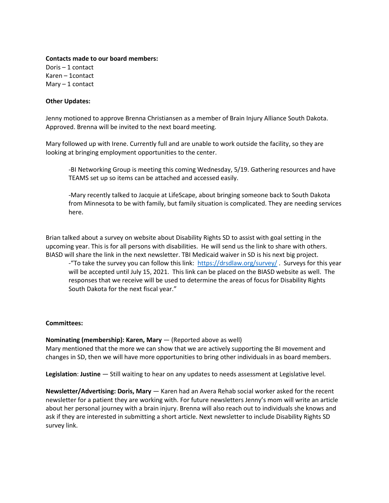### **Contacts made to our board members:**

Doris – 1 contact Karen – 1contact  $Mary - 1 contact$ 

## **Other Updates:**

Jenny motioned to approve Brenna Christiansen as a member of Brain Injury Alliance South Dakota. Approved. Brenna will be invited to the next board meeting.

Mary followed up with Irene. Currently full and are unable to work outside the facility, so they are looking at bringing employment opportunities to the center.

-BI Networking Group is meeting this coming Wednesday, 5/19. Gathering resources and have TEAMS set up so items can be attached and accessed easily.

-Mary recently talked to Jacquie at LifeScape, about bringing someone back to South Dakota from Minnesota to be with family, but family situation is complicated. They are needing services here.

Brian talked about a survey on website about Disability Rights SD to assist with goal setting in the upcoming year. This is for all persons with disabilities. He will send us the link to share with others. BIASD will share the link in the next newsletter. TBI Medicaid waiver in SD is his next big project.

-"To take the survey you can follow this link: <https://drsdlaw.org/survey/> . Surveys for this year will be accepted until July 15, 2021. This link can be placed on the BIASD website as well. The responses that we receive will be used to determine the areas of focus for Disability Rights South Dakota for the next fiscal year."

# **Committees:**

### **Nominating (membership): Karen, Mary** — (Reported above as well)

Mary mentioned that the more we can show that we are actively supporting the BI movement and changes in SD, then we will have more opportunities to bring other individuals in as board members.

**Legislation**: **Justine** — Still waiting to hear on any updates to needs assessment at Legislative level.

**Newsletter/Advertising: Doris, Mary** — Karen had an Avera Rehab social worker asked for the recent newsletter for a patient they are working with. For future newsletters Jenny's mom will write an article about her personal journey with a brain injury. Brenna will also reach out to individuals she knows and ask if they are interested in submitting a short article. Next newsletter to include Disability Rights SD survey link.